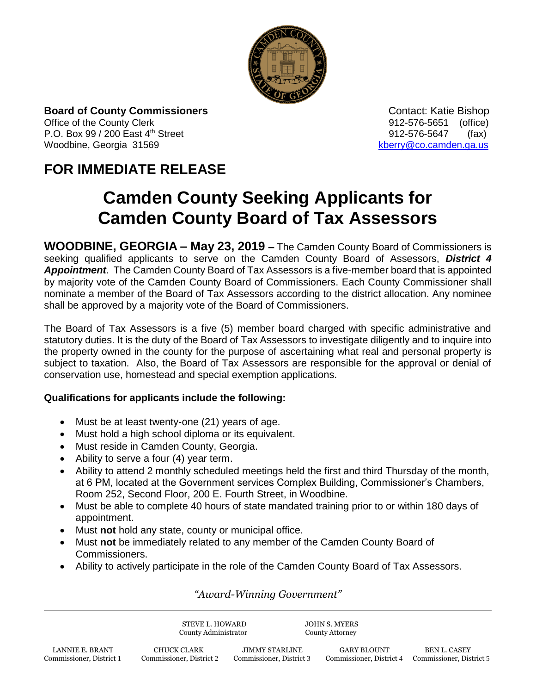

**Board of County Commissioners Contact: Katie Bishop** Contact: Katie Bishop Office of the County Clerk 61 and 2012-576-5651 (office) P.O. Box 99 / 200 East 4<sup>th</sup> Street 912-576-5647 (fax) Woodbine, Georgia 31569 [kberry@co.camden.ga.us](mailto:kberry@co.camden.ga.us)

## **FOR IMMEDIATE RELEASE**

# **Camden County Seeking Applicants for Camden County Board of Tax Assessors**

**WOODBINE, GEORGIA – May 23, 2019 –** The Camden County Board of Commissioners is seeking qualified applicants to serve on the Camden County Board of Assessors, *District 4 Appointment*. The Camden County Board of Tax Assessors is a five-member board that is appointed by majority vote of the Camden County Board of Commissioners. Each County Commissioner shall nominate a member of the Board of Tax Assessors according to the district allocation. Any nominee shall be approved by a majority vote of the Board of Commissioners.

The Board of Tax Assessors is a five (5) member board charged with specific administrative and statutory duties. It is the duty of the Board of Tax Assessors to investigate diligently and to inquire into the property owned in the county for the purpose of ascertaining what real and personal property is subject to taxation. Also, the Board of Tax Assessors are responsible for the approval or denial of conservation use, homestead and special exemption applications.

#### **Qualifications for applicants include the following:**

- Must be at least twenty-one (21) years of age.
- Must hold a high school diploma or its equivalent.
- Must reside in Camden County, Georgia.
- Ability to serve a four (4) year term.
- Ability to attend 2 monthly scheduled meetings held the first and third Thursday of the month, at 6 PM, located at the Government services Complex Building, Commissioner's Chambers, Room 252, Second Floor, 200 E. Fourth Street, in Woodbine.
- Must be able to complete 40 hours of state mandated training prior to or within 180 days of appointment.
- Must **not** hold any state, county or municipal office.
- Must **not** be immediately related to any member of the Camden County Board of Commissioners.
- Ability to actively participate in the role of the Camden County Board of Tax Assessors.

### *"Award-Winning Government"*

STEVE L. HOWARD JOHN S. MYERS County Administrator County Attorney